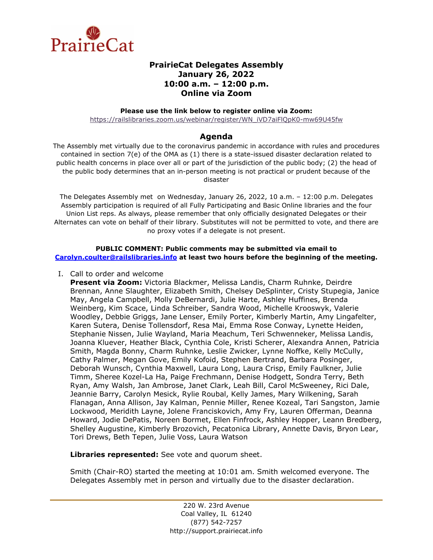

# **PrairieCat Delegates Assembly January 26, 2022 10:00 a.m. – 12:00 p.m. Online via Zoom**

#### **Please use the link below to register online via Zoom:**

[https://railslibraries.zoom.us/webinar/register/WN\\_iVD7aiFlQpK0-mw69U45fw](https://railslibraries.zoom.us/webinar/register/WN_iVD7aiFlQpK0-mw69U45fw)

# **Agenda**

The Assembly met virtually due to the coronavirus pandemic in accordance with rules and procedures contained in section 7(e) of the OMA as (1) there is a state-issued disaster declaration related to public health concerns in place over all or part of the jurisdiction of the public body; (2) the head of the public body determines that an in-person meeting is not practical or prudent because of the disaster

The Delegates Assembly met on Wednesday, January 26, 2022, 10 a.m. – 12:00 p.m. Delegates Assembly participation is required of all Fully Participating and Basic Online libraries and the four Union List reps. As always, please remember that only officially designated Delegates or their Alternates can vote on behalf of their library. Substitutes will not be permitted to vote, and there are no proxy votes if a delegate is not present.

#### **PUBLIC COMMENT: Public comments may be submitted via email to [Carolyn.coulter@railslibraries.info](mailto:Carolyn.coulter@railslibraries.info) at least two hours before the beginning of the meeting.**

I. Call to order and welcome

**Present via Zoom:** Victoria Blackmer, Melissa Landis, Charm Ruhnke, Deirdre Brennan, Anne Slaughter, Elizabeth Smith, Chelsey DeSplinter, Cristy Stupegia, Janice May, Angela Campbell, Molly DeBernardi, Julie Harte, Ashley Huffines, Brenda Weinberg, Kim Scace, Linda Schreiber, Sandra Wood, Michelle Krooswyk, Valerie Woodley, Debbie Griggs, Jane Lenser, Emily Porter, Kimberly Martin, Amy Lingafelter, Karen Sutera, Denise Tollensdorf, Resa Mai, Emma Rose Conway, Lynette Heiden, Stephanie Nissen, Julie Wayland, Maria Meachum, Teri Schwenneker, Melissa Landis, Joanna Kluever, Heather Black, Cynthia Cole, Kristi Scherer, Alexandra Annen, Patricia Smith, Magda Bonny, Charm Ruhnke, Leslie Zwicker, Lynne Noffke, Kelly McCully, Cathy Palmer, Megan Gove, Emily Kofoid, Stephen Bertrand, Barbara Posinger, Deborah Wunsch, Cynthia Maxwell, Laura Long, Laura Crisp, Emily Faulkner, Julie Timm, Sheree Kozel-La Ha, Paige Frechmann, Denise Hodgett, Sondra Terry, Beth Ryan, Amy Walsh, Jan Ambrose, Janet Clark, Leah Bill, Carol McSweeney, Rici Dale, Jeannie Barry, Carolyn Mesick, Rylie Roubal, Kelly James, Mary Wilkening, Sarah Flanagan, Anna Allison, Jay Kalman, Pennie Miller, Renee Kozeal, Tari Sangston, Jamie Lockwood, Meridith Layne, Jolene Franciskovich, Amy Fry, Lauren Offerman, Deanna Howard, Jodie DePatis, Noreen Bormet, Ellen Finfrock, Ashley Hopper, Leann Bredberg, Shelley Augustine, Kimberly Brozovich, Pecatonica Library, Annette Davis, Bryon Lear, Tori Drews, Beth Tepen, Julie Voss, Laura Watson

**Libraries represented:** See vote and quorum sheet.

Smith (Chair-RO) started the meeting at 10:01 am. Smith welcomed everyone. The Delegates Assembly met in person and virtually due to the disaster declaration.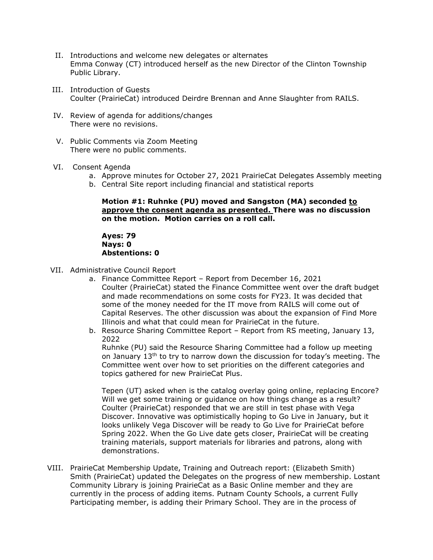- II. Introductions and welcome new delegates or alternates Emma Conway (CT) introduced herself as the new Director of the Clinton Township Public Library.
- III. Introduction of Guests Coulter (PrairieCat) introduced Deirdre Brennan and Anne Slaughter from RAILS.
- IV. Review of agenda for additions/changes There were no revisions.
- V. Public Comments via Zoom Meeting There were no public comments.
- VI. Consent Agenda
	- a. Approve minutes for October 27, 2021 PrairieCat Delegates Assembly meeting
	- b. Central Site report including financial and statistical reports

### **Motion #1: Ruhnke (PU) moved and Sangston (MA) seconded to approve the consent agenda as presented. There was no discussion on the motion. Motion carries on a roll call.**

**Ayes: 79 Nays: 0 Abstentions: 0**

- VII. Administrative Council Report
	- a. Finance Committee Report Report from December 16, 2021 Coulter (PrairieCat) stated the Finance Committee went over the draft budget and made recommendations on some costs for FY23. It was decided that some of the money needed for the IT move from RAILS will come out of Capital Reserves. The other discussion was about the expansion of Find More Illinois and what that could mean for PrairieCat in the future.
	- b. Resource Sharing Committee Report Report from RS meeting, January 13, 2022

Ruhnke (PU) said the Resource Sharing Committee had a follow up meeting on January 13<sup>th</sup> to try to narrow down the discussion for today's meeting. The Committee went over how to set priorities on the different categories and topics gathered for new PrairieCat Plus.

Tepen (UT) asked when is the catalog overlay going online, replacing Encore? Will we get some training or guidance on how things change as a result? Coulter (PrairieCat) responded that we are still in test phase with Vega Discover. Innovative was optimistically hoping to Go Live in January, but it looks unlikely Vega Discover will be ready to Go Live for PrairieCat before Spring 2022. When the Go Live date gets closer, PrairieCat will be creating training materials, support materials for libraries and patrons, along with demonstrations.

VIII. PrairieCat Membership Update, Training and Outreach report: (Elizabeth Smith) Smith (PrairieCat) updated the Delegates on the progress of new membership. Lostant Community Library is joining PrairieCat as a Basic Online member and they are currently in the process of adding items. Putnam County Schools, a current Fully Participating member, is adding their Primary School. They are in the process of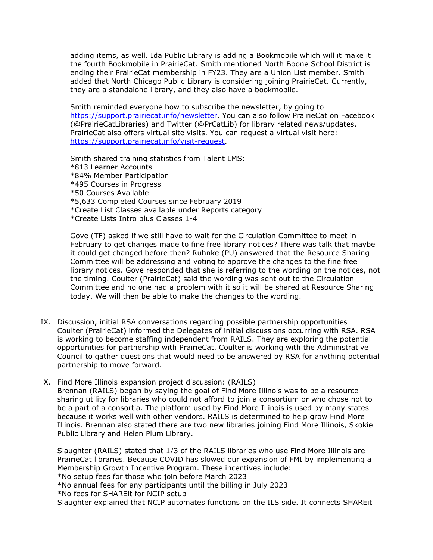adding items, as well. Ida Public Library is adding a Bookmobile which will it make it the fourth Bookmobile in PrairieCat. Smith mentioned North Boone School District is ending their PrairieCat membership in FY23. They are a Union List member. Smith added that North Chicago Public Library is considering joining PrairieCat. Currently, they are a standalone library, and they also have a bookmobile.

Smith reminded everyone how to subscribe the newsletter, by going to [https://support.prairiecat.info/newsletter.](https://support.prairiecat.info/newsletter) You can also follow PrairieCat on Facebook (@PrairieCatLibraries) and Twitter (@PrCatLib) for library related news/updates. PrairieCat also offers virtual site visits. You can request a virtual visit here: [https://support.prairiecat.info/visit-request.](https://support.prairiecat.info/visit-request)

Smith shared training statistics from Talent LMS: \*813 Learner Accounts \*84% Member Participation \*495 Courses in Progress \*50 Courses Available \*5,633 Completed Courses since February 2019 \*Create List Classes available under Reports category \*Create Lists Intro plus Classes 1-4

Gove (TF) asked if we still have to wait for the Circulation Committee to meet in February to get changes made to fine free library notices? There was talk that maybe it could get changed before then? Ruhnke (PU) answered that the Resource Sharing Committee will be addressing and voting to approve the changes to the fine free library notices. Gove responded that she is referring to the wording on the notices, not the timing. Coulter (PrairieCat) said the wording was sent out to the Circulation Committee and no one had a problem with it so it will be shared at Resource Sharing today. We will then be able to make the changes to the wording.

- IX. Discussion, initial RSA conversations regarding possible partnership opportunities Coulter (PrairieCat) informed the Delegates of initial discussions occurring with RSA. RSA is working to become staffing independent from RAILS. They are exploring the potential opportunities for partnership with PrairieCat. Coulter is working with the Administrative Council to gather questions that would need to be answered by RSA for anything potential partnership to move forward.
- X. Find More Illinois expansion project discussion: (RAILS) Brennan (RAILS) began by saying the goal of Find More Illinois was to be a resource sharing utility for libraries who could not afford to join a consortium or who chose not to be a part of a consortia. The platform used by Find More Illinois is used by many states because it works well with other vendors. RAILS is determined to help grow Find More Illinois. Brennan also stated there are two new libraries joining Find More Illinois, Skokie Public Library and Helen Plum Library.

Slaughter (RAILS) stated that 1/3 of the RAILS libraries who use Find More Illinois are PrairieCat libraries. Because COVID has slowed our expansion of FMI by implementing a Membership Growth Incentive Program. These incentives include:

\*No setup fees for those who join before March 2023

\*No annual fees for any participants until the billing in July 2023

\*No fees for SHAREit for NCIP setup

Slaughter explained that NCIP automates functions on the ILS side. It connects SHAREit